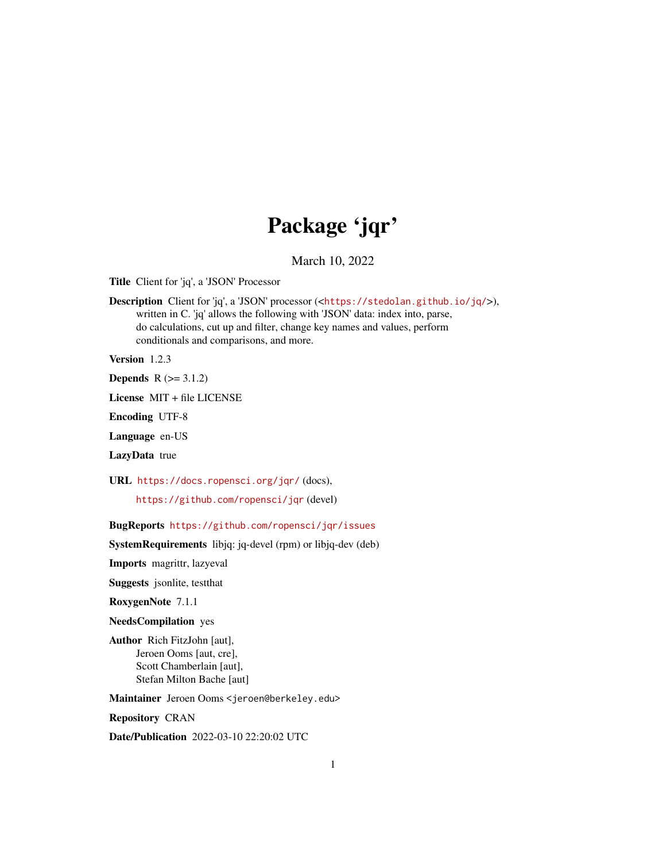# Package 'jqr'

March 10, 2022

<span id="page-0-0"></span>Title Client for 'jq', a 'JSON' Processor

Description Client for 'jq', a 'JSON' processor (<<https://stedolan.github.io/jq/>>), written in C. 'jq' allows the following with 'JSON' data: index into, parse, do calculations, cut up and filter, change key names and values, perform conditionals and comparisons, and more.

Version 1.2.3

**Depends**  $R (= 3.1.2)$ 

License MIT + file LICENSE

Encoding UTF-8

Language en-US

LazyData true

URL <https://docs.ropensci.org/jqr/> (docs),

<https://github.com/ropensci/jqr> (devel)

BugReports <https://github.com/ropensci/jqr/issues>

SystemRequirements libjq: jq-devel (rpm) or libjq-dev (deb)

Imports magrittr, lazyeval

Suggests jsonlite, testthat

RoxygenNote 7.1.1

NeedsCompilation yes

Author Rich FitzJohn [aut], Jeroen Ooms [aut, cre], Scott Chamberlain [aut], Stefan Milton Bache [aut]

Maintainer Jeroen Ooms <jeroen@berkeley.edu>

Repository CRAN

Date/Publication 2022-03-10 22:20:02 UTC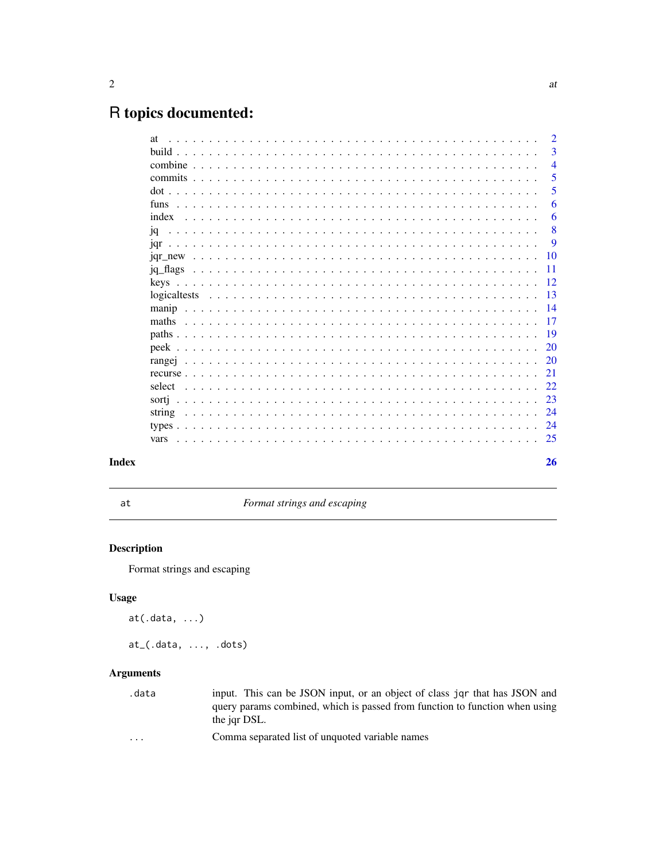# <span id="page-1-0"></span>R topics documented:

|      | $\mathcal{D}_{\mathcal{L}}$ |
|------|-----------------------------|
|      | 3                           |
|      | $\overline{4}$              |
|      | 5                           |
|      | 5                           |
|      | 6                           |
|      | 6                           |
| iq   | 8                           |
|      | 9                           |
|      | 10                          |
|      | -11                         |
| kevs | 12                          |
|      | 13                          |
|      | 14                          |
|      | 17                          |
|      | 19                          |
|      | 20                          |
|      | 20                          |
|      | 21                          |
|      | 22                          |
|      | 23                          |
|      | 24                          |
|      | 24                          |
|      |                             |
|      | 26                          |
|      |                             |

## **Index**

at

Format strings and escaping

## **Description**

Format strings and escaping

## **Usage**

 $at(.data, ...)$ 

 $at_{-}(.data, ..., .dots)$ 

## **Arguments**

.data input. This can be JSON input, or an object of class jqr that has JSON and query params combined, which is passed from function to function when using the jqr DSL.

Comma separated list of unquoted variable names  $\ddots$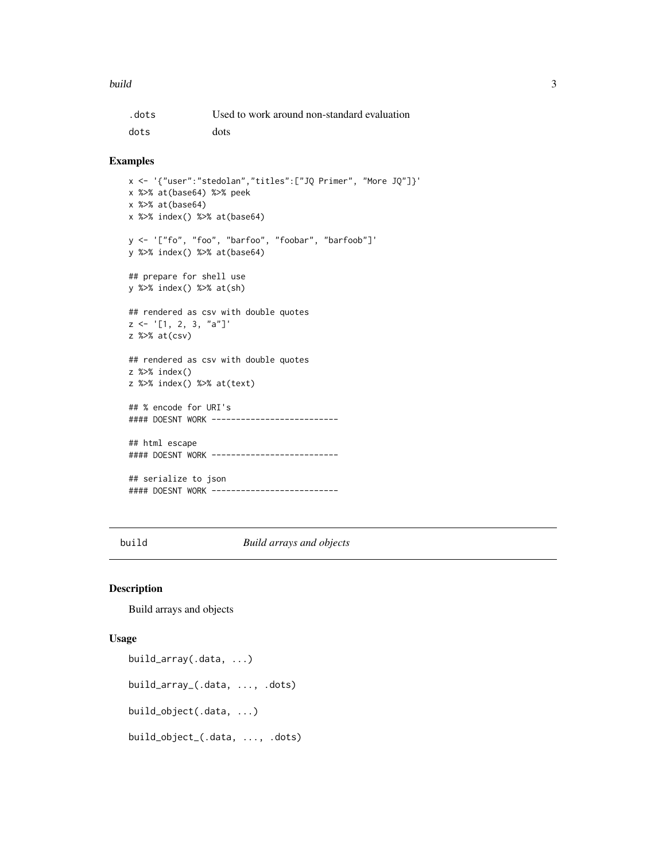#### <span id="page-2-0"></span>build 3 and 3 and 3 and 3 and 3 and 3 and 3 and 3 and 3 and 3 and 3 and 3 and 3 and 3 and 3 and 3 and 3 and 3 and 3 and 3 and 3 and 3 and 3 and 3 and 3 and 3 and 3 and 3 and 3 and 3 and 3 and 3 and 3 and 3 and 3 and 3 and

| .dots | Used to work around non-standard evaluation |
|-------|---------------------------------------------|
| dots  | dots                                        |

#### Examples

```
x <- '{"user":"stedolan","titles":["JQ Primer", "More JQ"]}'
x %>% at(base64) %>% peek
x %>% at(base64)
x %>% index() %>% at(base64)
y <- '["fo", "foo", "barfoo", "foobar", "barfoob"]'
y %>% index() %>% at(base64)
## prepare for shell use
y %>% index() %>% at(sh)
## rendered as csv with double quotes
z \leq '[1, 2, 3, "a"]'
z %>% at(csv)
## rendered as csv with double quotes
z %>% index()
z %>% index() %>% at(text)
## % encode for URI's
#### DOESNT WORK -------------------------
## html escape
#### DOESNT WORK -------------------------
## serialize to json
#### DOESNT WORK -------------------------
```
build *Build arrays and objects*

#### <span id="page-2-1"></span>Description

Build arrays and objects

#### Usage

```
build_array(.data, ...)
build_array_(.data, ..., .dots)
build_object(.data, ...)
build_object_(.data, ..., .dots)
```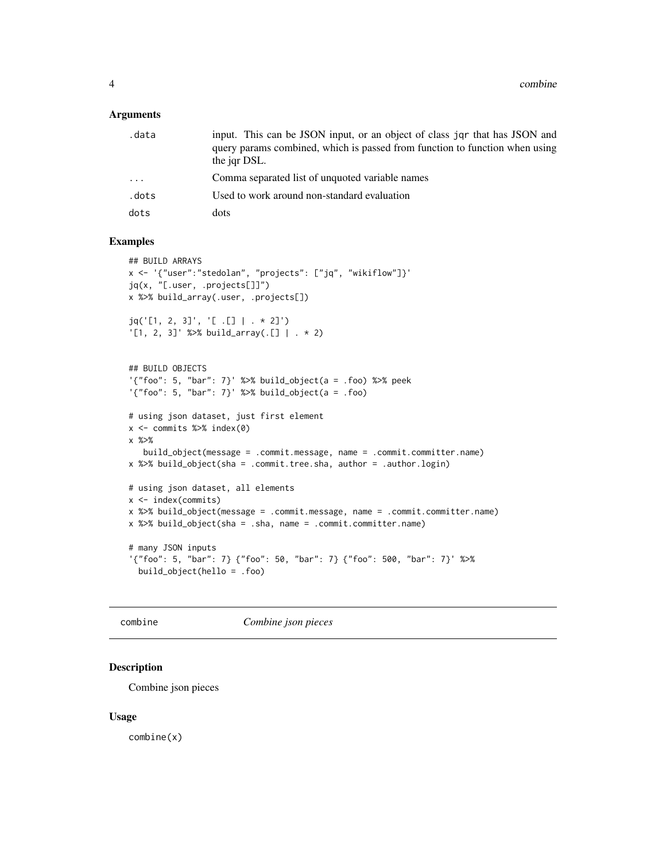#### <span id="page-3-0"></span>**Arguments**

| .data                   | input. This can be JSON input, or an object of class jqr that has JSON and<br>query params combined, which is passed from function to function when using<br>the jar DSL. |
|-------------------------|---------------------------------------------------------------------------------------------------------------------------------------------------------------------------|
| $\cdot$ $\cdot$ $\cdot$ | Comma separated list of unquoted variable names                                                                                                                           |
| .dots                   | Used to work around non-standard evaluation                                                                                                                               |
| dots                    | dots                                                                                                                                                                      |

## Examples

```
## BUILD ARRAYS
x <- '{"user":"stedolan", "projects": ["jq", "wikiflow"]}'
jq(x, "[.user, .projects[]]")
x %>% build_array(.user, .projects[])
jq('[1, 2, 3]', '[ .[] | . * 2]')
'[1, 2, 3]' %>% build_array(.[] | . * 2)
## BUILD OBJECTS
'{"foo": 5, "bar": 7}' %>% build_object(a = .foo) %>% peek
'\{'"foo": 5, "bar": 7}' %>% build_object(a = .foo)
# using json dataset, just first element
x \le - commits %\gg index(0)
x %>%
   build_object(message = .commit.message, name = .commit.committer.name)
x %>% build_object(sha = .commit.tree.sha, author = .author.login)
# using json dataset, all elements
x <- index(commits)
x %>% build_object(message = .commit.message, name = .commit.committer.name)
x %>% build_object(sha = .sha, name = .commit.committer.name)
# many JSON inputs
'{"foo": 5, "bar": 7} {"foo": 50, "bar": 7} {"foo": 500, "bar": 7}' %>%
  build_object(hello = .foo)
```
combine *Combine json pieces*

#### Description

Combine json pieces

#### Usage

combine(x)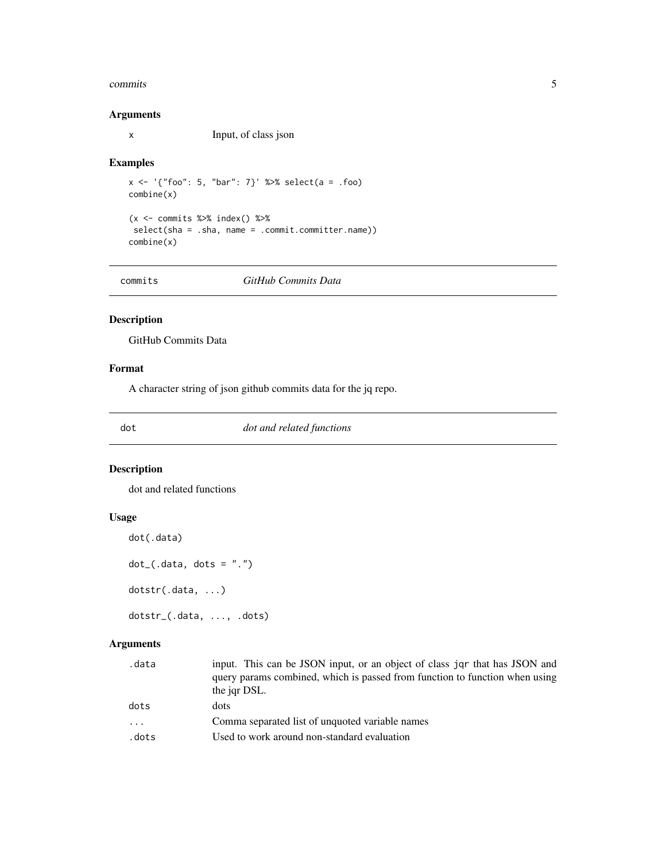#### <span id="page-4-0"></span>commits 5

## Arguments

x Input, of class json

#### Examples

```
x \le - '{"foo": 5, "bar": 7}' %>% select(a = .foo)
combine(x)
(x \leq - commits %>% index() %>%
 select(sha = .sha, name = .commit.committer.name))
combine(x)
```
commits *GitHub Commits Data*

## Description

GitHub Commits Data

## Format

A character string of json github commits data for the jq repo.

dot *dot and related functions*

#### Description

dot and related functions

## Usage

```
dot(.data)
```
 $dot_{-}(.data, dots = ".'')$ 

dotstr(.data, ...)

dotstr\_(.data, ..., .dots)

## Arguments

| .data | input. This can be JSON input, or an object of class jqr that has JSON and  |
|-------|-----------------------------------------------------------------------------|
|       | query params combined, which is passed from function to function when using |
|       | the jqr DSL.                                                                |
| dots  | dots                                                                        |
| .     | Comma separated list of unquoted variable names                             |
| .dots | Used to work around non-standard evaluation                                 |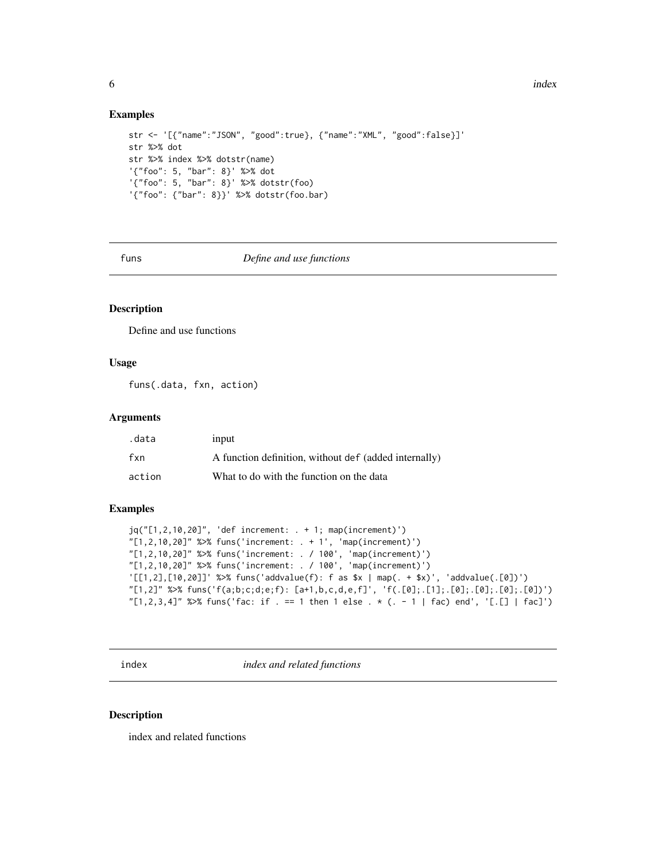#### Examples

```
str <- '[{"name":"JSON", "good":true}, {"name":"XML", "good":false}]'
str %>% dot
str %>% index %>% dotstr(name)
'{"foo": 5, "bar": 8}' %>% dot
'{"foo": 5, "bar": 8}' %>% dotstr(foo)
'{"foo": {"bar": 8}}' %>% dotstr(foo.bar)
```
#### funs *Define and use functions*

## Description

Define and use functions

## Usage

funs(.data, fxn, action)

#### Arguments

| .data  | input                                                 |
|--------|-------------------------------------------------------|
| fxn    | A function definition, without def (added internally) |
| action | What to do with the function on the data              |

## Examples

```
jq("[1,2,10,20]", 'def increment: . + 1; map(increment)')
"[1,2,10,20]" %>% funs('increment: . + 1', 'map(increment)')
"[1,2,10,20]" %>% funs('increment: . / 100', 'map(increment)')
"[1,2,10,20]" %>% funs('increment: . / 100', 'map(increment)')
'[[1,2],[10,20]]' %>% funs('addvalue(f): f as $x | map(. + $x)', 'addvalue(.[0])')
"[1,2]" %>% funs('f(a;b;c;d;e;f): [a+1,b,c,d,e,f]', 'f(.[0];.[1];.[0];.[0];.[0];.[0])')
"[1,2,3,4]" %>% funs('fac: if . == 1 then 1 else . * (. - 1 | fac) end', '[.[] | fac]')
```
index *index and related functions*

#### Description

index and related functions

<span id="page-5-0"></span>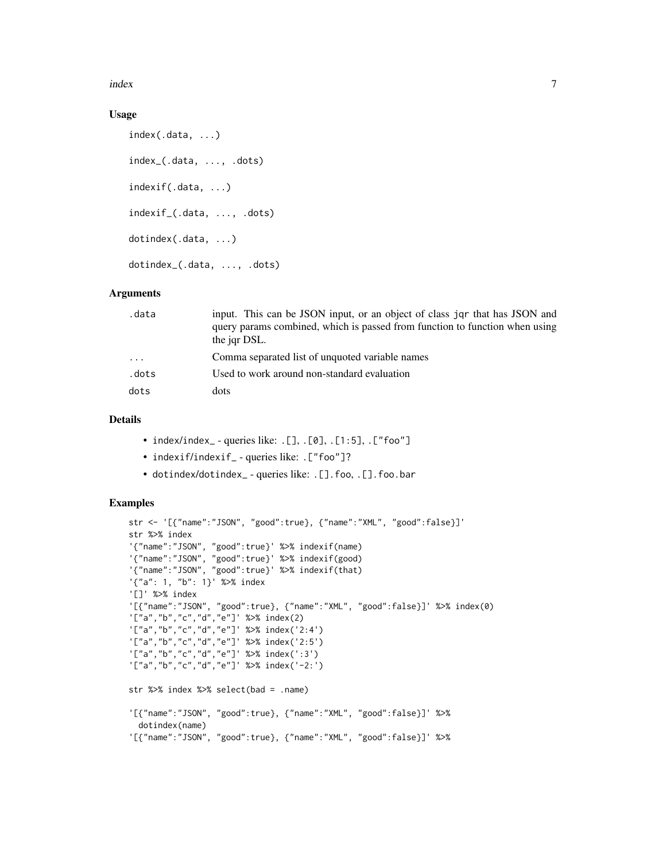index 7

## Usage

```
index(.data, ...)
index_(.data, ..., .dots)
indexif(.data, ...)
indexif_(.data, ..., .dots)
dotindex(.data, ...)
dotindex_(.data, ..., .dots)
```
#### Arguments

| .data      | input. This can be JSON input, or an object of class jor that has JSON and<br>query params combined, which is passed from function to function when using<br>the jar DSL. |
|------------|---------------------------------------------------------------------------------------------------------------------------------------------------------------------------|
| $\ddots$ . | Comma separated list of unquoted variable names                                                                                                                           |
| .dots      | Used to work around non-standard evaluation                                                                                                                               |
| dots       | dots                                                                                                                                                                      |

## Details

- index/index\_ queries like: .[], .[0], .[1:5], .["foo"]
- indexif/indexif\_ queries like: . ["foo"]?
- dotindex/dotindex\_ queries like: .[].foo, .[].foo.bar

```
str <- '[{"name":"JSON", "good":true}, {"name":"XML", "good":false}]'
str %>% index
'{"name":"JSON", "good":true}' %>% indexif(name)
'{"name":"JSON", "good":true}' %>% indexif(good)
'{"name":"JSON", "good":true}' %>% indexif(that)
'{"a": 1, "b": 1}' %>% index
'[]' %>% index
'[{"name":"JSON", "good":true}, {"name":"XML", "good":false}]' %>% index(0)
'["a","b","c","d","e"]' %>% index(2)
'["a","b","c","d","e"]' %>% index('2:4')
'["a","b","c","d","e"]' %>% index('2:5')
'["a","b","c","d","e"]' %>% index(':3')
'["a","b","c","d","e"]' %>% index('-2:')
str %>% index %>% select(bad = .name)
'[{"name":"JSON", "good":true}, {"name":"XML", "good":false}]' %>%
 dotindex(name)
'[{"name":"JSON", "good":true}, {"name":"XML", "good":false}]' %>%
```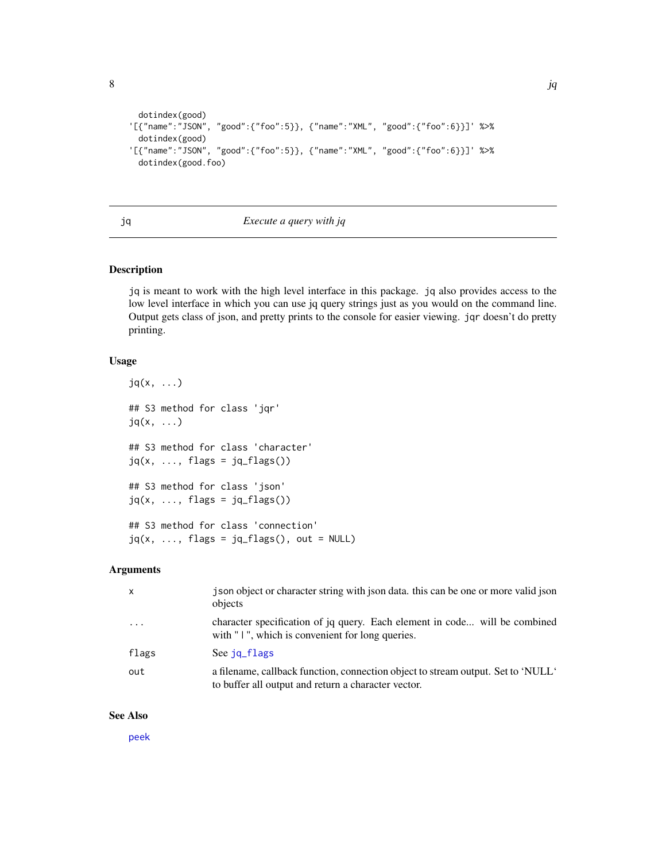```
dotindex(good)
'[{"name":"JSON", "good":{"foo":5}}, {"name":"XML", "good":{"foo":6}}]' %>%
 dotindex(good)
'[{"name":"JSON", "good":{"foo":5}}, {"name":"XML", "good":{"foo":6}}]' %>%
 dotindex(good.foo)
```
## <span id="page-7-1"></span>jq *Execute a query with jq*

## Description

jq is meant to work with the high level interface in this package. jq also provides access to the low level interface in which you can use jq query strings just as you would on the command line. Output gets class of json, and pretty prints to the console for easier viewing. jqr doesn't do pretty printing.

#### Usage

```
jq(x, ...)
## S3 method for class 'jqr'
jq(x, ...)
## S3 method for class 'character'
jq(x, ..., \text{ flags} = jq\_flags())## S3 method for class 'json'
jq(x, \ldots, flags = jq_flags())## S3 method for class 'connection'
jq(x, ..., \text{ flags} = jq_flags(), out = NULL)
```
## Arguments

| $\times$                | j son object or character string with json data, this can be one or more valid json<br>objects                                          |
|-------------------------|-----------------------------------------------------------------------------------------------------------------------------------------|
| $\cdot$ $\cdot$ $\cdot$ | character specification of jq query. Each element in code will be combined<br>with "I", which is convenient for long queries.           |
| flags                   | See jq_flags                                                                                                                            |
| out                     | a filename, callback function, connection object to stream output. Set to 'NULL'<br>to buffer all output and return a character vector. |

#### See Also

[peek](#page-19-1)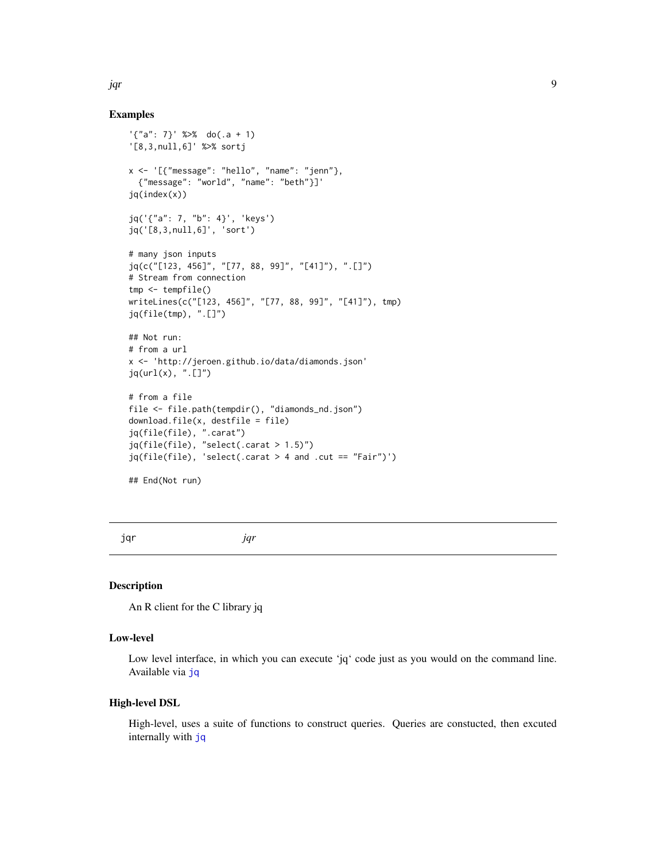#### Examples

```
'\{"a": 7}' %>% do(.a + 1)
'[8,3,null,6]' %>% sortj
x <- '[{"message": "hello", "name": "jenn"},
  {"message": "world", "name": "beth"}]'
jq(index(x))
jq('{"a": 7, "b": 4}', 'keys')
jq('[8,3,null,6]', 'sort')
# many json inputs
jq(c("[123, 456]", "[77, 88, 99]", "[41]"), ".[]")
# Stream from connection
tmp <- tempfile()
writeLines(c("[123, 456]", "[77, 88, 99]", "[41]"), tmp)
jq(file(tmp), ".[]")
## Not run:
# from a url
x <- 'http://jeroen.github.io/data/diamonds.json'
jq(url(x), ".[]")# from a file
file <- file.path(tempdir(), "diamonds_nd.json")
download.file(x, destfile = file)
jq(file(file), ".carat")
jq(file(file), "select(.carat > 1.5)")
jq(file(file), 'select(.carat > 4 and .cut == "Fair")')## End(Not run)
```
jqr *jqr*

## Description

An R client for the C library jq

#### Low-level

Low level interface, in which you can execute 'jq' code just as you would on the command line. Available via [jq](#page-7-1)

## High-level DSL

High-level, uses a suite of functions to construct queries. Queries are constucted, then excuted internally with [jq](#page-7-1)

<span id="page-8-0"></span>jqr 9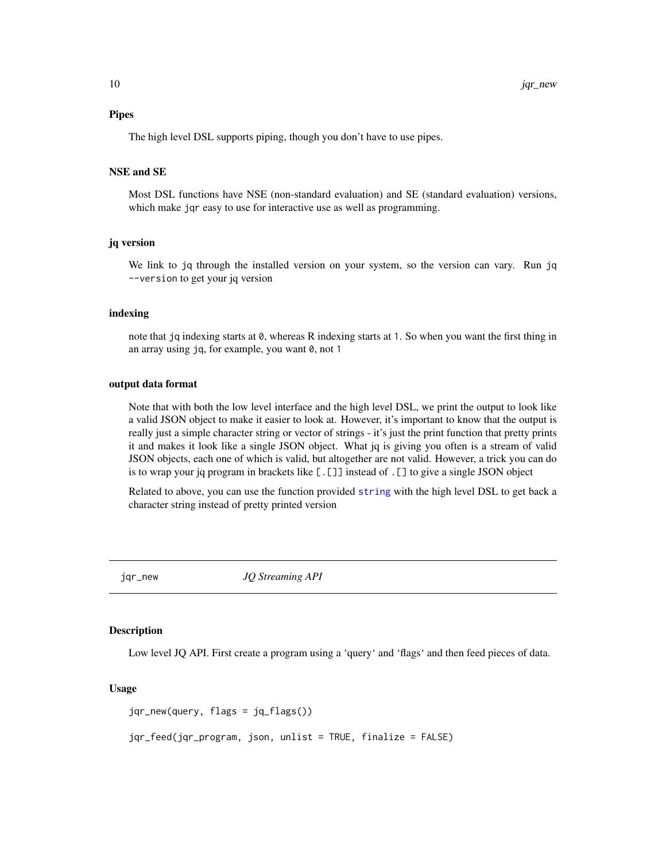<span id="page-9-0"></span>The high level DSL supports piping, though you don't have to use pipes.

#### NSE and SE

Most DSL functions have NSE (non-standard evaluation) and SE (standard evaluation) versions, which make jqr easy to use for interactive use as well as programming.

#### jq version

We link to jq through the installed version on your system, so the version can vary. Run jq --version to get your jq version

#### indexing

note that jq indexing starts at 0, whereas R indexing starts at 1. So when you want the first thing in an array using jq, for example, you want 0, not 1

#### output data format

Note that with both the low level interface and the high level DSL, we print the output to look like a valid JSON object to make it easier to look at. However, it's important to know that the output is really just a simple character string or vector of strings - it's just the print function that pretty prints it and makes it look like a single JSON object. What jq is giving you often is a stream of valid JSON objects, each one of which is valid, but altogether are not valid. However, a trick you can do is to wrap your jq program in brackets like [.[]] instead of .[] to give a single JSON object

Related to above, you can use the function provided [string](#page-23-1) with the high level DSL to get back a character string instead of pretty printed version

jqr\_new *JQ Streaming API*

### **Description**

Low level JQ API. First create a program using a 'query' and 'flags' and then feed pieces of data.

#### Usage

```
jqr_new(query, flags = jq_flags())
```
jqr\_feed(jqr\_program, json, unlist = TRUE, finalize = FALSE)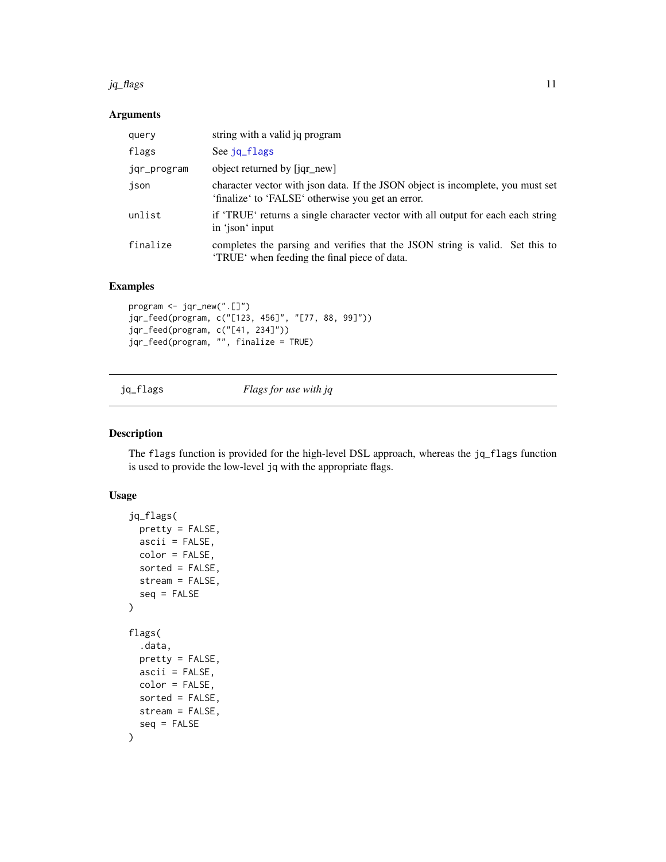#### <span id="page-10-0"></span> $jq$ \_flags  $11$

## Arguments

| query       | string with a valid jq program                                                                                                       |
|-------------|--------------------------------------------------------------------------------------------------------------------------------------|
| flags       | See jq flags                                                                                                                         |
| jqr_program | object returned by [jqr_new]                                                                                                         |
| json        | character vector with json data. If the JSON object is incomplete, you must set<br>'finalize' to 'FALSE' otherwise you get an error. |
| unlist      | if 'TRUE' returns a single character vector with all output for each each string<br>in 'ison' input                                  |
| finalize    | completes the parsing and verifies that the JSON string is valid. Set this to<br>'TRUE' when feeding the final piece of data.        |

## Examples

```
program <- jqr_new(".[]")
jqr_feed(program, c("[123, 456]", "[77, 88, 99]"))
jqr_feed(program, c("[41, 234]"))
jqr_feed(program, "", finalize = TRUE)
```
<span id="page-10-1"></span>jq\_flags *Flags for use with jq*

## Description

The flags function is provided for the high-level DSL approach, whereas the jq\_flags function is used to provide the low-level jq with the appropriate flags.

## Usage

```
jq_flags(
 pretty = FALSE,
  ascii = FALSE,
 color = FALSE,
  sorted = FALSE,
 stream = FALSE,
  seq = FALSE
)
flags(
  .data,
 pretty = FALSE,
 ascii = FALSE,
 color = FALSE,
  sorted = FALSE,
 stream = FALSE,
  seq = FALSE\mathcal{E}
```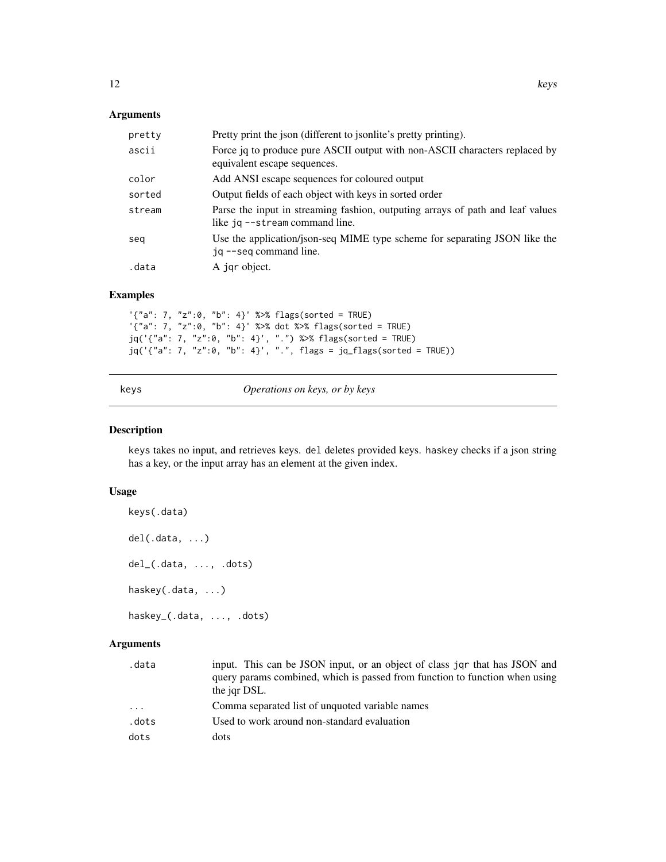## <span id="page-11-0"></span>Arguments

| pretty | Pretty print the json (different to jsonlite's pretty printing).                                                 |
|--------|------------------------------------------------------------------------------------------------------------------|
| ascii  | Force jq to produce pure ASCII output with non-ASCII characters replaced by<br>equivalent escape sequences.      |
| color  | Add ANSI escape sequences for coloured output                                                                    |
| sorted | Output fields of each object with keys in sorted order                                                           |
| stream | Parse the input in streaming fashion, outputing arrays of path and leaf values<br>like jq --stream command line. |
| seg    | Use the application/json-seq MIME type scheme for separating JSON like the<br>jq --seq command line.             |
| .data  | A jqr object.                                                                                                    |

## Examples

'{"a": 7, "z":0, "b": 4}' %>% flags(sorted = TRUE) '{"a": 7, "z":0, "b": 4}' %>% dot %>% flags(sorted = TRUE) jq('{"a": 7, "z":0, "b": 4}', ".") %>% flags(sorted = TRUE) jq('{"a": 7, "z":0, "b": 4}', ".", flags = jq\_flags(sorted = TRUE))

keys *Operations on keys, or by keys*

### Description

keys takes no input, and retrieves keys. del deletes provided keys. haskey checks if a json string has a key, or the input array has an element at the given index.

## Usage

```
keys(.data)
del(.data, ...)
del_(.data, ..., .dots)
haskey(.data, ...)
haskey_(.data, ..., .dots)
```
## Arguments

| .data | input. This can be JSON input, or an object of class jar that has JSON and<br>query params combined, which is passed from function to function when using<br>the jar DSL. |
|-------|---------------------------------------------------------------------------------------------------------------------------------------------------------------------------|
| .     | Comma separated list of unquoted variable names                                                                                                                           |
| .dots | Used to work around non-standard evaluation                                                                                                                               |
| dots  | dots                                                                                                                                                                      |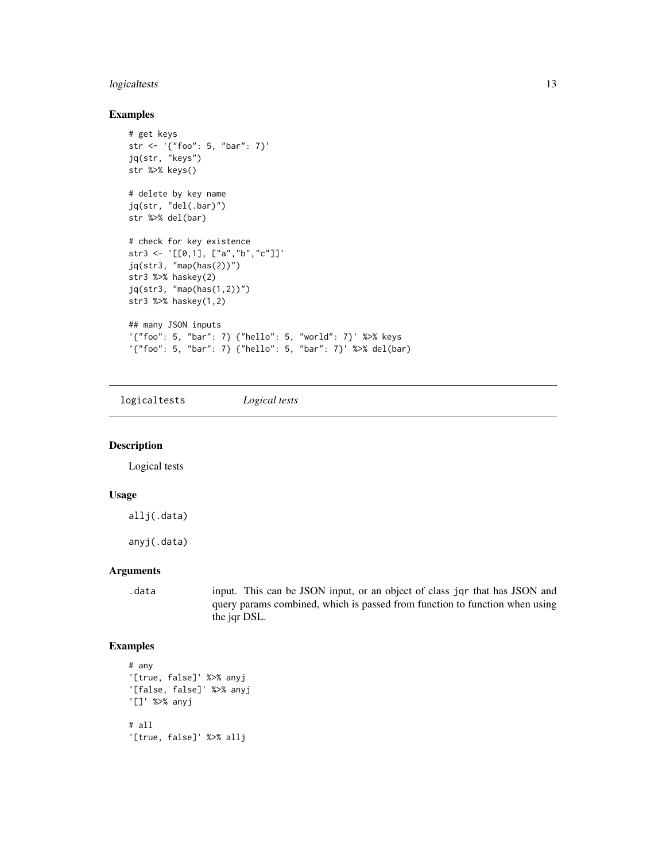## <span id="page-12-0"></span>logicaltests 13

## Examples

```
# get keys
str <- '{"foo": 5, "bar": 7}'
jq(str, "keys")
str %>% keys()
# delete by key name
jq(str, "del(.bar)")
str %>% del(bar)
# check for key existence
str3 <- '[[0,1], ["a","b","c"]]'
jq(str3, "map(has(2))")
str3 %>% haskey(2)
jq(str3, "map(has(1,2))")
str3 %>% haskey(1,2)
## many JSON inputs
'{"foo": 5, "bar": 7} {"hello": 5, "world": 7}' %>% keys
'{"foo": 5, "bar": 7} {"hello": 5, "bar": 7}' %>% del(bar)
```
logicaltests *Logical tests*

#### Description

Logical tests

#### Usage

allj(.data)

anyj(.data)

#### Arguments

.data input. This can be JSON input, or an object of class jqr that has JSON and query params combined, which is passed from function to function when using the jqr DSL.

```
# any
'[true, false]' %>% anyj
'[false, false]' %>% anyj
'[]' %>% anyj
# all
'[true, false]' %>% allj
```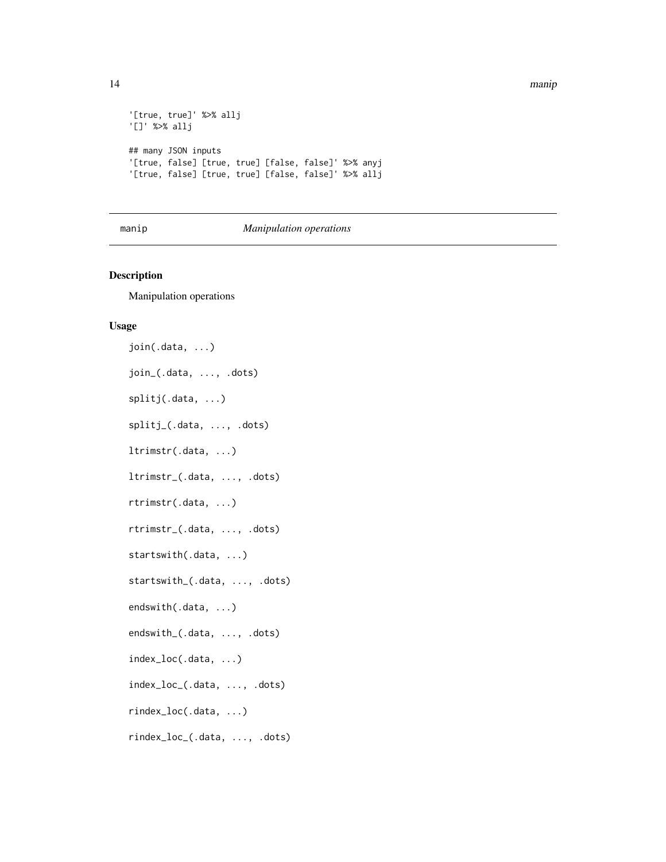<span id="page-13-0"></span>14 manipunan kalendar kalendar (k. 1918). Peristiwa manipunan kalendar kalendar (k. 1918). Peristiwa manipunan k

```
'[true, true]' %>% allj
'[]' %>% allj
## many JSON inputs
'[true, false] [true, true] [false, false]' %>% anyj
'[true, false] [true, true] [false, false]' %>% allj
```
#### manip *Manipulation operations*

## Description

Manipulation operations

#### Usage

join(.data, ...) join\_(.data, ..., .dots) splitj(.data, ...) splitj\_(.data, ..., .dots) ltrimstr(.data, ...) ltrimstr\_(.data, ..., .dots) rtrimstr(.data, ...) rtrimstr\_(.data, ..., .dots) startswith(.data, ...) startswith\_(.data, ..., .dots) endswith(.data, ...) endswith\_(.data, ..., .dots) index\_loc(.data, ...) index\_loc\_(.data, ..., .dots) rindex\_loc(.data, ...) rindex\_loc\_(.data, ..., .dots)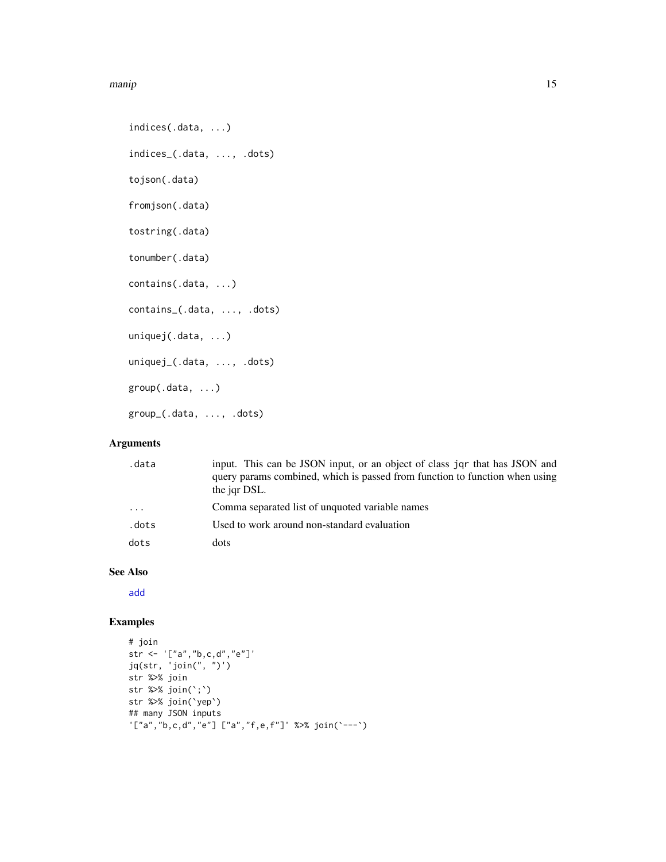#### <span id="page-14-0"></span>manip and the contract of the contract of the contract of the contract of the contract of the contract of the contract of the contract of the contract of the contract of the contract of the contract of the contract of the

```
indices(.data, ...)
indices_(.data, ..., .dots)
tojson(.data)
fromjson(.data)
tostring(.data)
tonumber(.data)
contains(.data, ...)
contains_(.data, ..., .dots)
uniquej(.data, ...)
uniquej_(.data, ..., .dots)
group(.data, ...)
group_(.data, ..., .dots)
```
## Arguments

| .data      | input. This can be JSON input, or an object of class jar that has JSON and<br>query params combined, which is passed from function to function when using<br>the jqr DSL. |
|------------|---------------------------------------------------------------------------------------------------------------------------------------------------------------------------|
| $\ddots$ . | Comma separated list of unquoted variable names                                                                                                                           |
| .dots      | Used to work around non-standard evaluation                                                                                                                               |
| dots       | dots                                                                                                                                                                      |

#### See Also

[add](#page-0-0)

```
# join
str <- '["a","b,c,d","e"]'
jq(str, 'join(", ")')
str %>% join
str %>% join(`;`)
str %>% join(`yep`)
## many JSON inputs
'["a","b,c,d","e"] ["a","f,e,f"]' %>% join(`---`)
```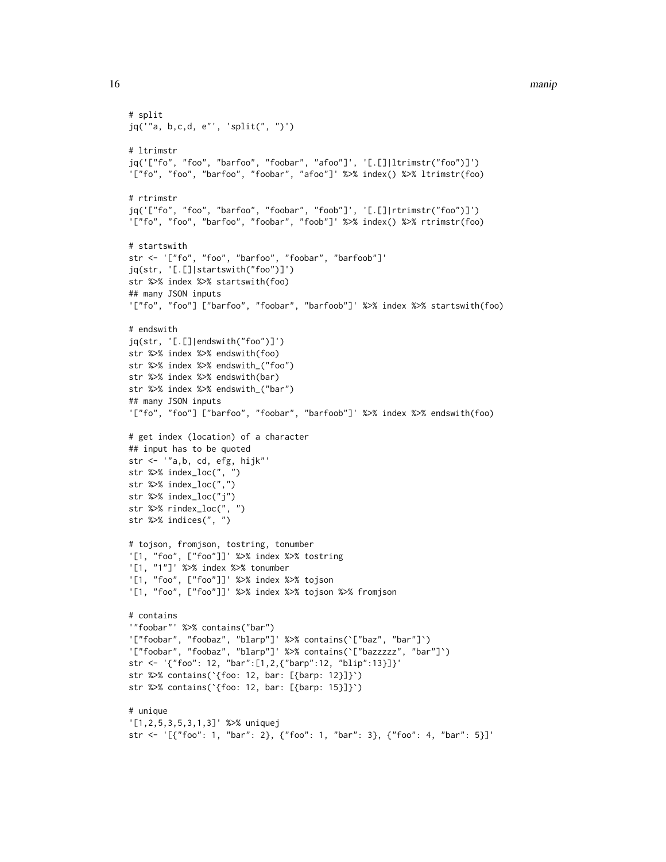16 manipunan kalendar ke manipunan ke manipunan ke manipunan ke manipunan ke manipunan ke manipunan ke manipun

```
# split
jq('"a, b,c,d, e"', 'split(", ")')
# ltrimstr
jq('["fo", "foo", "barfoo", "foobar", "afoo"]', '[.[]|ltrimstr("foo")]')
'["fo", "foo", "barfoo", "foobar", "afoo"]' %>% index() %>% ltrimstr(foo)
# rtrimstr
jq('["fo", "foo", "barfoo", "foobar", "foob"]', '[.[]|rtrimstr("foo")]')
'["fo", "foo", "barfoo", "foobar", "foob"]' %>% index() %>% rtrimstr(foo)
# startswith
str <- '["fo", "foo", "barfoo", "foobar", "barfoob"]'
jq(str, '[.[]|startswith("foo")]')
str %>% index %>% startswith(foo)
## many JSON inputs
'["fo", "foo"] ["barfoo", "foobar", "barfoob"]' %>% index %>% startswith(foo)
# endswith
jq(str, '[.[]|endswith("foo")]')
str %>% index %>% endswith(foo)
str %>% index %>% endswith_("foo")
str %>% index %>% endswith(bar)
str %>% index %>% endswith_("bar")
## many JSON inputs
'["fo", "foo"] ["barfoo", "foobar", "barfoob"]' %>% index %>% endswith(foo)
# get index (location) of a character
## input has to be quoted
str <- '"a,b, cd, efg, hijk"'
str %>% index_loc(", ")
str %>% index_loc(",")
str %>% index_loc("j")
str %>% rindex_loc(", ")
str %>% indices(", ")
# tojson, fromjson, tostring, tonumber
'[1, "foo", ["foo"]]' %>% index %>% tostring
'[1, "1"]' %>% index %>% tonumber
'[1, "foo", ["foo"]]' %>% index %>% tojson
'[1, "foo", ["foo"]]' %>% index %>% tojson %>% fromjson
# contains
'"foobar"' %>% contains("bar")
'["foobar", "foobaz", "blarp"]' %>% contains(`["baz", "bar"]`)
'["foobar", "foobaz", "blarp"]' %>% contains(`["bazzzzz", "bar"]`)
str <- '{"foo": 12, "bar":[1,2,{"barp":12, "blip":13}]}'
str %>% contains(`{foo: 12, bar: [{barp: 12}]}`)
str %>% contains(`{foo: 12, bar: [{barp: 15}]}`)
# unique
'[1,2,5,3,5,3,1,3]' %>% uniquej
str <- '[{"foo": 1, "bar": 2}, {"foo": 1, "bar": 3}, {"foo": 4, "bar": 5}]'
```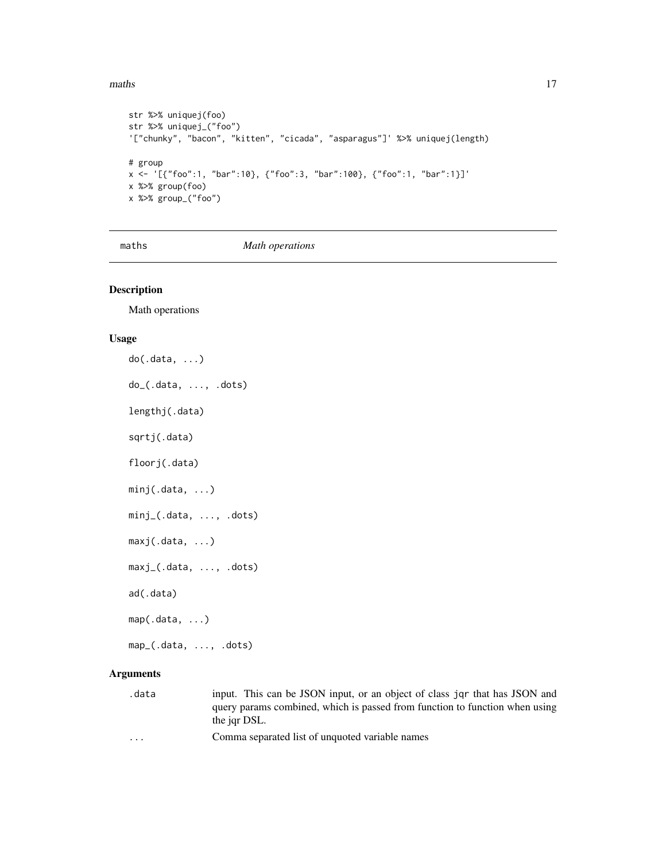#### <span id="page-16-0"></span>maths and the contract of the contract of the contract of the contract of the contract of the contract of the contract of the contract of the contract of the contract of the contract of the contract of the contract of the

```
str %>% uniquej(foo)
str %>% uniquej_("foo")
'["chunky", "bacon", "kitten", "cicada", "asparagus"]' %>% uniquej(length)
# group
x <- '[{"foo":1, "bar":10}, {"foo":3, "bar":100}, {"foo":1, "bar":1}]'
x %>% group(foo)
x %>% group_("foo")
```
maths *Math operations*

#### Description

Math operations

#### Usage

do(.data, ...) do\_(.data, ..., .dots) lengthj(.data) sqrtj(.data) floorj(.data) minj(.data, ...) minj\_(.data, ..., .dots) maxj(.data, ...) maxj\_(.data, ..., .dots) ad(.data) map(.data, ...) map\_(.data, ..., .dots)

## Arguments

- .data input. This can be JSON input, or an object of class jqr that has JSON and query params combined, which is passed from function to function when using the jqr DSL.
- ... Comma separated list of unquoted variable names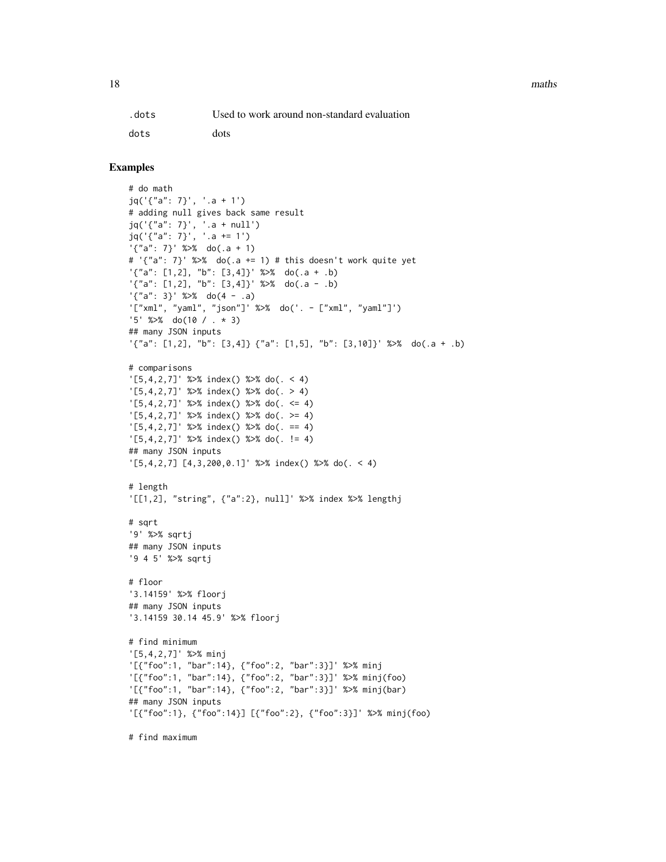18 maths and the contract of the contract of the contract of the contract of the contract of the contract of the contract of the contract of the contract of the contract of the contract of the contract of the contract of t

| .dots | Used to work around non-standard evaluation |
|-------|---------------------------------------------|
| dots  | dots                                        |

## Examples

```
# do math
jq('{"a": 7}', '.a + 1')
# adding null gives back same result
jq('{"a": 7}', '.a + null')
jq('{"a": 7}', '.a += 1')
'{"a": 7}' %>% do(.a + 1)
# '{"a": 7}' %>% do(.a += 1) # this doesn't work quite yet
'\{'a'': [1,2], "b": [3,4]'} %>% do(.a + .b)
'\{"a": [1,2], "b": [3,4]}' %>% do(.a - .b)
'\{"a": 3}' %>% do(4 - .a)
'["xml", "yaml", "json"]' %>% do('. - ["xml", "yaml"]')
'5' %>% do(10 / . * 3)
## many JSON inputs
'{"a": [1,2], "b": [3,4]} {"a": [1,5], "b": [3,10]}' %>% do(.a + .b)
# comparisons
'[5,4,2,7]' %>% index() %>% do(. < 4)
'[5,4,2,7]' %>% index() %>% do(. > 4)
'[5,4,2,7]' %>% index() %>% do(. <= 4)
'[5,4,2,7]' %>% index() %>% do(. >= 4)
'[5,4,2,7]' %>% index() %>% do(. == 4)
'[5,4,2,7]' %>% index() %>% do(. != 4)
## many JSON inputs
'[5,4,2,7] [4,3,200,0.1]' %>% index() %>% do(. < 4)
# length
'[[1,2], "string", {"a":2}, null]' %>% index %>% lengthj
# sqrt
'9' %>% sqrtj
## many JSON inputs
'9 4 5' %>% sqrtj
# floor
'3.14159' %>% floorj
## many JSON inputs
'3.14159 30.14 45.9' %>% floorj
# find minimum
'[5,4,2,7]' %>% minj
'[{"foo":1, "bar":14}, {"foo":2, "bar":3}]' %>% minj
'[{"foo":1, "bar":14}, {"foo":2, "bar":3}]' %>% minj(foo)
'[{"foo":1, "bar":14}, {"foo":2, "bar":3}]' %>% minj(bar)
## many JSON inputs
'[{"foo":1}, {"foo":14}] [{"foo":2}, {"foo":3}]' %>% minj(foo)
```
# find maximum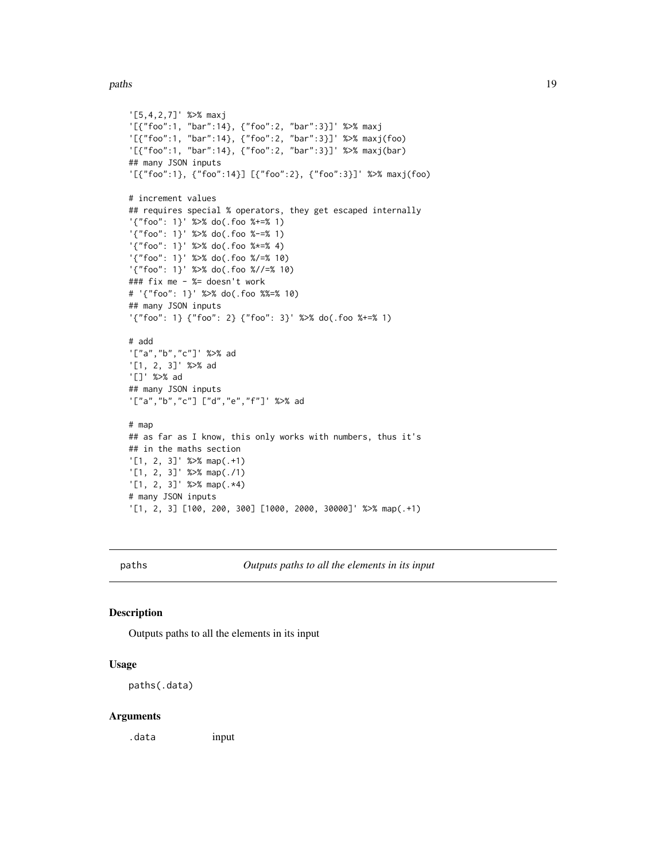#### <span id="page-18-0"></span>paths and the contract of the contract of the contract of the contract of the contract of the contract of the contract of the contract of the contract of the contract of the contract of the contract of the contract of the

```
'[5,4,2,7]' %>% maxj
'[{"foo":1, "bar":14}, {"foo":2, "bar":3}]' %>% maxj
'[{"foo":1, "bar":14}, {"foo":2, "bar":3}]' %>% maxj(foo)
'[{"foo":1, "bar":14}, {"foo":2, "bar":3}]' %>% maxj(bar)
## many JSON inputs
'[{"foo":1}, {"foo":14}] [{"foo":2}, {"foo":3}]' %>% maxj(foo)
# increment values
## requires special % operators, they get escaped internally
'{"foo": 1}' %>% do(.foo %+=% 1)
'{"foo": 1}' %>% do(.foo %-=% 1)
'{"foo": 1}' %>% do(.foo %*=% 4)
'{"foo": 1}' %>% do(.foo %/=% 10)
'{"foo": 1}' %>% do(.foo %//=% 10)
### fix me - %= doesn't work
# '{"foo": 1}' %>% do(.foo %%=% 10)
## many JSON inputs
'{"foo": 1} {"foo": 2} {"foo": 3}' %>% do(.foo %+=% 1)
# add
'["a","b","c"]' %>% ad
'[1, 2, 3]' %>% ad
'[]' %>% ad
## many JSON inputs
'["a","b","c"] ["d","e","f"]' %>% ad
# map
## as far as I know, this only works with numbers, thus it's
## in the maths section
'[1, 2, 3]' %>% map(.+1)
'[1, 2, 3]' %>% map(./1)
'[1, 2, 3]' %>% map(.*4)
# many JSON inputs
'[1, 2, 3] [100, 200, 300] [1000, 2000, 30000]' %>% map(.+1)
```
paths *Outputs paths to all the elements in its input*

#### Description

Outputs paths to all the elements in its input

## Usage

paths(.data)

#### Arguments

.data input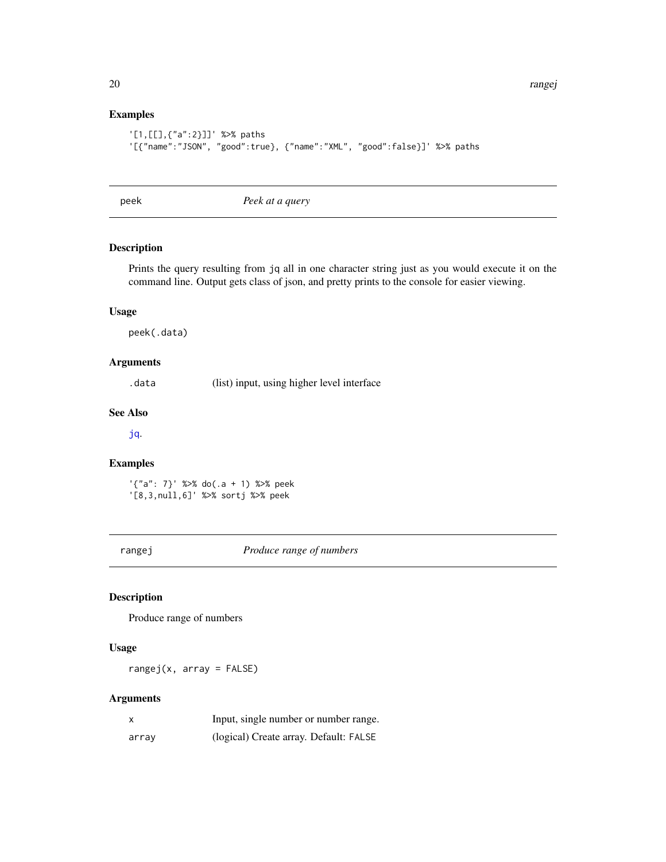20 **rangej** *rangej rangej rangej rangej rangej rangej rangej rangej rangej rangej rangej rangej rangej rangej rangej rangej rangej rangej rangej rangej rangej rangej rangej ra* 

## Examples

```
'[1,[[],{"a":2}]]' %>% paths
'[{"name":"JSON", "good":true}, {"name":"XML", "good":false}]' %>% paths
```
<span id="page-19-1"></span>peek *Peek at a query*

## Description

Prints the query resulting from jq all in one character string just as you would execute it on the command line. Output gets class of json, and pretty prints to the console for easier viewing.

## Usage

peek(.data)

#### Arguments

.data (list) input, using higher level interface

## See Also

[jq](#page-7-1).

#### Examples

'{"a": 7}' %>% do(.a + 1) %>% peek '[8,3,null,6]' %>% sortj %>% peek

rangej *Produce range of numbers*

#### Description

Produce range of numbers

## Usage

rangej(x, array = FALSE)

## Arguments

| x     | Input, single number or number range.  |
|-------|----------------------------------------|
| array | (logical) Create array. Default: FALSE |

<span id="page-19-0"></span>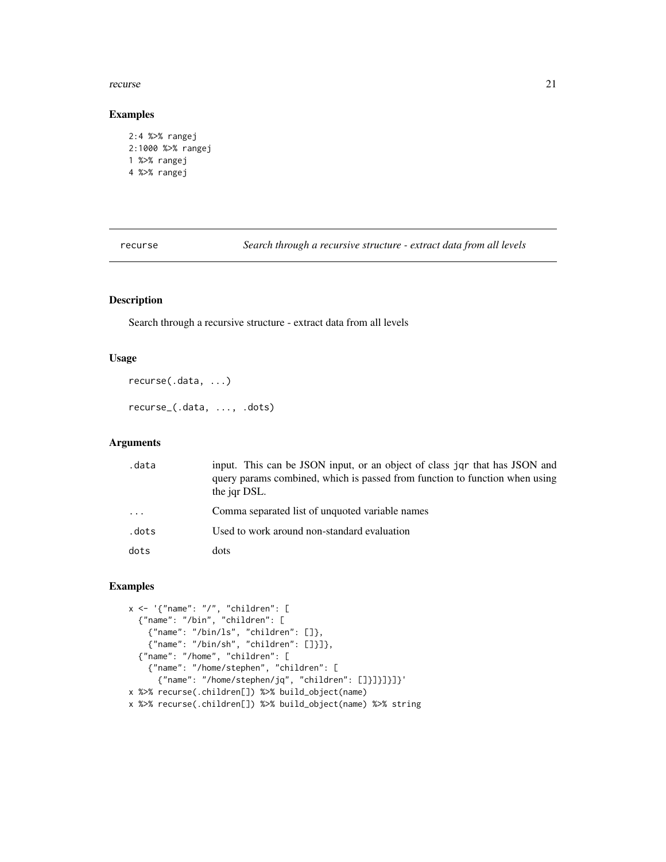#### <span id="page-20-0"></span>recurse 21

## Examples

```
2:4 %>% rangej
2:1000 %>% rangej
1 %>% rangej
4 %>% rangej
```
recurse *Search through a recursive structure - extract data from all levels*

## Description

Search through a recursive structure - extract data from all levels

## Usage

```
recurse(.data, ...)
recurse_(.data, ..., .dots)
```
## Arguments

| .data      | input. This can be JSON input, or an object of class jar that has JSON and<br>query params combined, which is passed from function to function when using<br>the jar DSL. |
|------------|---------------------------------------------------------------------------------------------------------------------------------------------------------------------------|
| $\ddots$ . | Comma separated list of unquoted variable names                                                                                                                           |
| .dots      | Used to work around non-standard evaluation                                                                                                                               |
| dots       | dots                                                                                                                                                                      |

```
x <- '{"name": "/", "children": [
  {"name": "/bin", "children": [
    {"name": "/bin/ls", "children": []},
    {"name": "/bin/sh", "children": []}]},
 {"name": "/home", "children": [
   {"name": "/home/stephen", "children": [
     {"name": "/home/stephen/jq", "children": []}]}]}]}'
x %>% recurse(.children[]) %>% build_object(name)
x %>% recurse(.children[]) %>% build_object(name) %>% string
```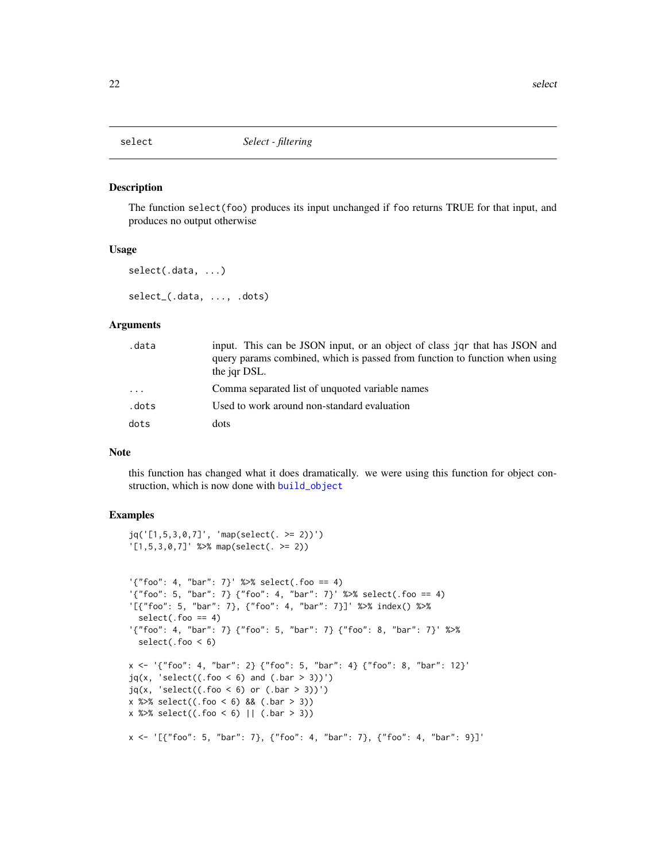<span id="page-21-0"></span>

#### Description

The function select(foo) produces its input unchanged if foo returns TRUE for that input, and produces no output otherwise

#### Usage

```
select(.data, ...)
select_(.data, ..., .dots)
```
#### Arguments

| .data    | input. This can be JSON input, or an object of class jqr that has JSON and                  |
|----------|---------------------------------------------------------------------------------------------|
|          | query params combined, which is passed from function to function when using<br>the jar DSL. |
| $\ddots$ | Comma separated list of unquoted variable names                                             |
| .dots    | Used to work around non-standard evaluation                                                 |
| dots     | dots                                                                                        |

#### Note

this function has changed what it does dramatically. we were using this function for object construction, which is now done with [build\\_object](#page-2-1)

```
jq('[1,5,3,0,7]', 'map(select(. >= 2))')
'[1,5,3,0,7]' %>% map(select(. >= 2))
'{"foo": 4, "bar": 7}' %>% select(.foo == 4)
'{"foo": 5, "bar": 7} {"foo": 4, "bar": 7}' %>% select(.foo == 4)
'[{"foo": 5, "bar": 7}, {"foo": 4, "bar": 7}]' %>% index() %>%
 select(.foo == 4)'{"foo": 4, "bar": 7} {"foo": 5, "bar": 7} {"foo": 8, "bar": 7}' %>%
  select(.foo < 6)
x <- '{"foo": 4, "bar": 2} {"foo": 5, "bar": 4} {"foo": 8, "bar": 12}'
jq(x, 'select((.foo < 6) and (.bar > 3))')jq(x, 'select((.foo < 6) or (.bar > 3))')x %>\% select((.foo < 6) % (.bar > 3))
x %>% select((.foo < 6) || (.bar > 3))
x <- '[{"foo": 5, "bar": 7}, {"foo": 4, "bar": 7}, {"foo": 4, "bar": 9}]'
```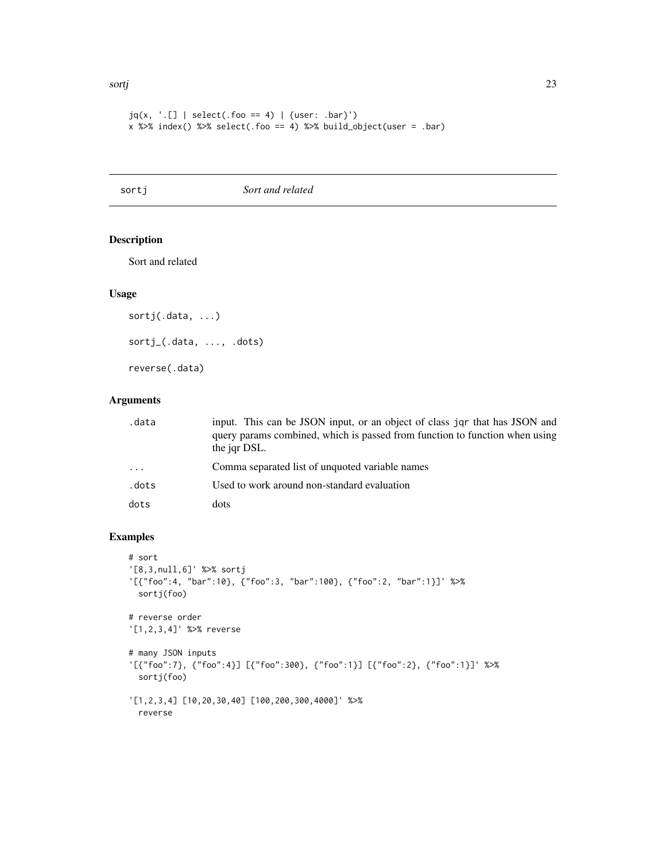#### <span id="page-22-0"></span>sortj 23

```
jq(x, ' . [ ] | select(.foo == 4) | {user: .bar}'')x %>% index() %>% select(.foo == 4) %>% build_object(user = .bar)
```
sortj *Sort and related*

## Description

Sort and related

#### Usage

```
sortj(.data, ...)
sortj_(.data, ..., .dots)
reverse(.data)
```
## Arguments

| .data | input. This can be JSON input, or an object of class jor that has JSON and<br>query params combined, which is passed from function to function when using<br>the jar DSL. |
|-------|---------------------------------------------------------------------------------------------------------------------------------------------------------------------------|
| .     | Comma separated list of unquoted variable names                                                                                                                           |
| .dots | Used to work around non-standard evaluation                                                                                                                               |
| dots  | dots                                                                                                                                                                      |

```
# sort
'[8,3,null,6]' %>% sortj
'[{"foo":4, "bar":10}, {"foo":3, "bar":100}, {"foo":2, "bar":1}]' %>%
 sortj(foo)
# reverse order
'[1,2,3,4]' %>% reverse
# many JSON inputs
'[{"foo":7}, {"foo":4}] [{"foo":300}, {"foo":1}] [{"foo":2}, {"foo":1}]' %>%
  sortj(foo)
'[1,2,3,4] [10,20,30,40] [100,200,300,4000]' %>%
  reverse
```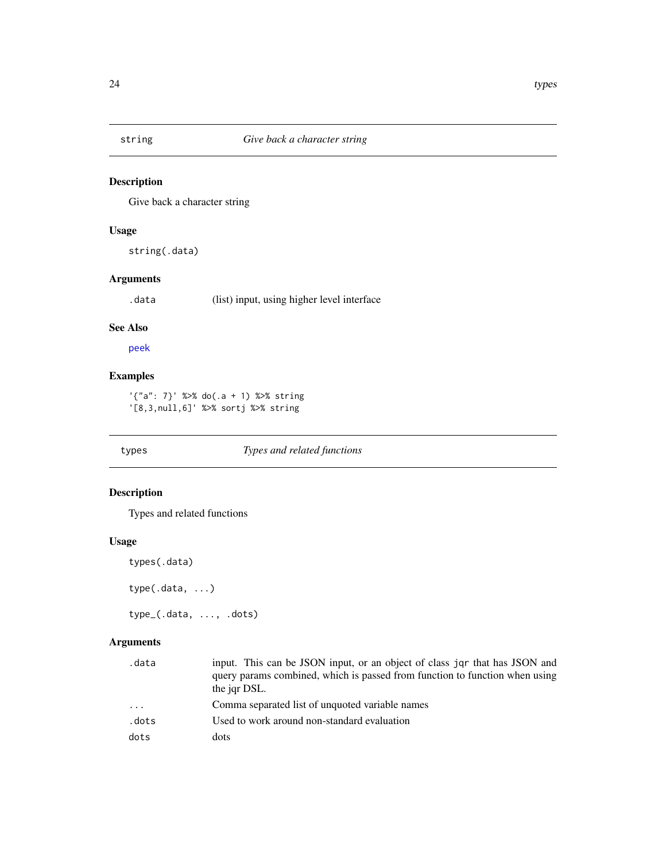<span id="page-23-1"></span><span id="page-23-0"></span>

## Description

Give back a character string

## Usage

string(.data)

## Arguments

.data (list) input, using higher level interface

#### See Also

[peek](#page-19-1)

## Examples

'{"a": 7}' %>% do(.a + 1) %>% string '[8,3,null,6]' %>% sortj %>% string

## types *Types and related functions*

## Description

Types and related functions

#### Usage

```
types(.data)
```
type(.data, ...)

type\_(.data, ..., .dots)

## Arguments

| .data | input. This can be JSON input, or an object of class jor that has JSON and  |
|-------|-----------------------------------------------------------------------------|
|       | query params combined, which is passed from function to function when using |
|       | the jar DSL.                                                                |
| .     | Comma separated list of unquoted variable names                             |
| .dots | Used to work around non-standard evaluation                                 |
| dots  | dots                                                                        |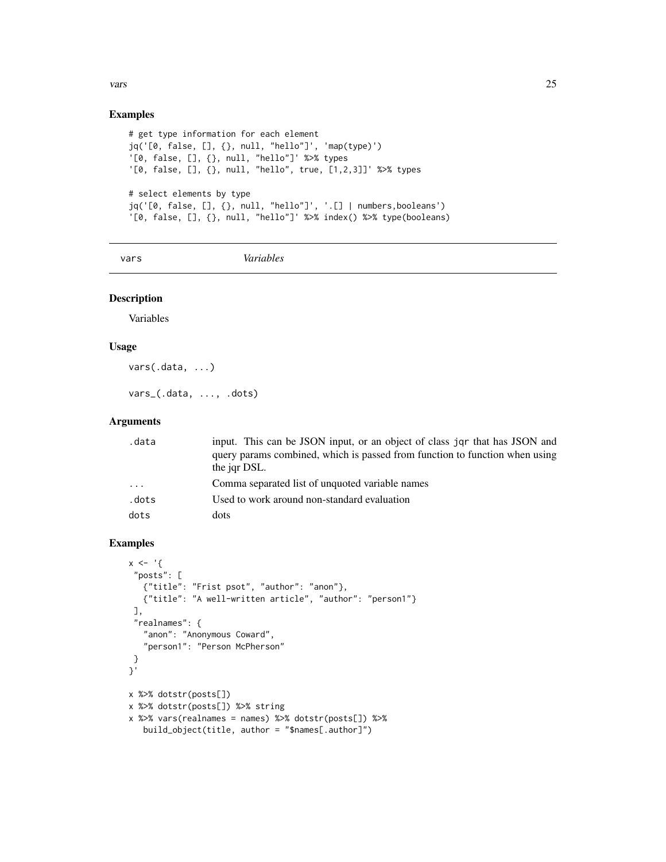## <span id="page-24-0"></span>vars 25

## Examples

```
# get type information for each element
jq('[0, false, [], {}, null, "hello"]', 'map(type)')
'[0, false, [], {}, null, "hello"]' %>% types
'[0, false, [], {}, null, "hello", true, [1,2,3]]' %>% types
# select elements by type
jq('[0, false, [], {}, null, "hello"]', '.[] | numbers,booleans')
'[0, false, [], {}, null, "hello"]' %>% index() %>% type(booleans)
```
vars *Variables*

## Description

Variables

#### Usage

vars(.data, ...)

vars\_(.data, ..., .dots)

#### Arguments

| .data                   | input. This can be JSON input, or an object of class jqr that has JSON and<br>query params combined, which is passed from function to function when using<br>the jar DSL. |
|-------------------------|---------------------------------------------------------------------------------------------------------------------------------------------------------------------------|
| $\cdot$ $\cdot$ $\cdot$ | Comma separated list of unquoted variable names                                                                                                                           |
| .dots                   | Used to work around non-standard evaluation                                                                                                                               |
| dots                    | dots                                                                                                                                                                      |

```
x \leftarrow '"posts": [
  {"title": "Frist psot", "author": "anon"},
  {"title": "A well-written article", "author": "person1"}
 ],
 "realnames": {
  "anon": "Anonymous Coward",
   "person1": "Person McPherson"
 }
}'
x %>% dotstr(posts[])
x %>% dotstr(posts[]) %>% string
x %>% vars(realnames = names) %>% dotstr(posts[]) %>%
   build_object(title, author = "$names[.author]")
```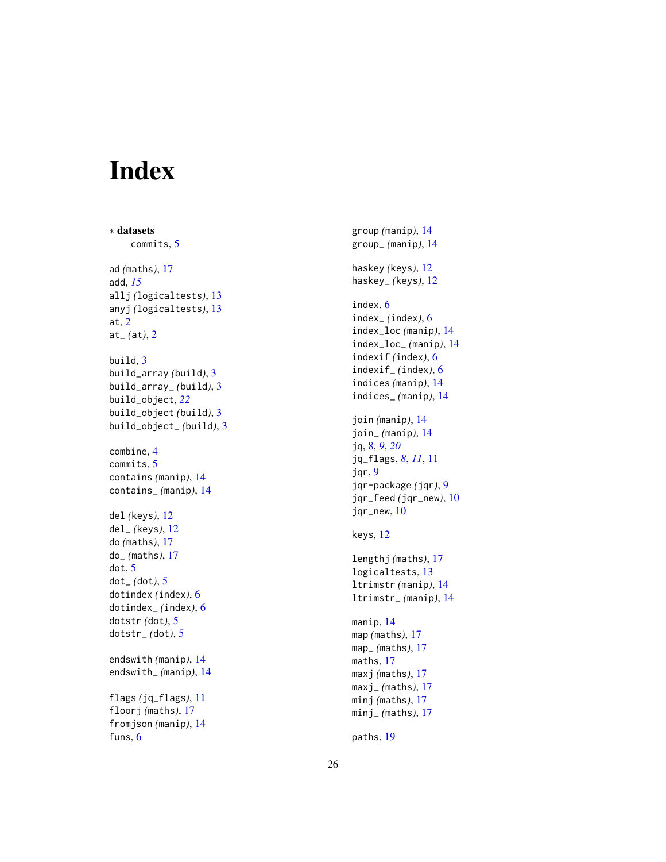# <span id="page-25-0"></span>Index

∗ datasets commits , [5](#page-4-0) ad *(*maths *)* , [17](#page-16-0) add , *[15](#page-14-0)* allj *(*logicaltests *)* , [13](#page-12-0) anyj *(*logicaltests *)* , [13](#page-12-0) at , [2](#page-1-0) at\_ *(*at *)* , [2](#page-1-0) build , [3](#page-2-0) build\_array *(*build *)* , [3](#page-2-0) build\_array\_ *(*build *)* , [3](#page-2-0) build\_object , *[22](#page-21-0)* build\_object *(*build *)* , [3](#page-2-0) build\_object\_ *(*build *)* , [3](#page-2-0) combine , [4](#page-3-0) commits , [5](#page-4-0) contains *(*manip *)* , [14](#page-13-0) contains\_ *(*manip *)* , [14](#page-13-0) del *(*keys *)* , [12](#page-11-0) del\_ *(*keys *)* , [12](#page-11-0) do *(*maths *)* , [17](#page-16-0) do\_ *(*maths *)* , [17](#page-16-0) dot , [5](#page-4-0) dot\_ *(*dot *)* , [5](#page-4-0) dotindex *(*index *)* , [6](#page-5-0) dotindex\_ *(*index *)* , [6](#page-5-0) dotstr *(*dot *)* , [5](#page-4-0) dotstr\_ *(*dot *)* , [5](#page-4-0) endswith *(*manip *)* , [14](#page-13-0) endswith\_ *(*manip *)* , [14](#page-13-0) flags *(*jq\_flags *)* , [11](#page-10-0) floorj *(*maths *)* , [17](#page-16-0) fromjson *(*manip *)* , [14](#page-13-0) funs, [6](#page-5-0)

group *(*manip *)* , [14](#page-13-0) group\_ *(*manip *)* , [14](#page-13-0) haskey *(*keys *)* , [12](#page-11-0) haskey\_ *(*keys *)* , [12](#page-11-0) index , [6](#page-5-0) index\_ *(*index *)* , [6](#page-5-0) index\_loc *(*manip *)* , [14](#page-13-0) index\_loc\_ *(*manip *)* , [14](#page-13-0) indexif *(*index *)* , [6](#page-5-0) indexif\_ *(*index *)* , [6](#page-5-0) indices *(*manip *)* , [14](#page-13-0) indices\_ *(*manip *)* , [14](#page-13-0) join *(*manip *)* , [14](#page-13-0) join\_ *(*manip *)* , [14](#page-13-0) jq , [8](#page-7-0) , *[9](#page-8-0)* , *[20](#page-19-0)* jq\_flags , *[8](#page-7-0)* , *[11](#page-10-0)* , [11](#page-10-0) jqr , [9](#page-8-0) jqr-package *(*jqr *)* , [9](#page-8-0) jqr\_feed *(*jqr\_new *)* , [10](#page-9-0) jqr\_new , [10](#page-9-0) keys , [12](#page-11-0) lengthj *(*maths *)* , [17](#page-16-0) logicaltests, [13](#page-12-0) ltrimstr *(*manip *)* , [14](#page-13-0) ltrimstr\_ *(*manip *)* , [14](#page-13-0) manip , [14](#page-13-0) map *(*maths *)* , [17](#page-16-0) map\_ *(*maths *)* , [17](#page-16-0) maths , [17](#page-16-0) maxj *(*maths *)* , [17](#page-16-0) maxj\_ *(*maths *)* , [17](#page-16-0) minj *(*maths *)* , [17](#page-16-0) minj\_ *(*maths *)* , [17](#page-16-0) paths , [19](#page-18-0)